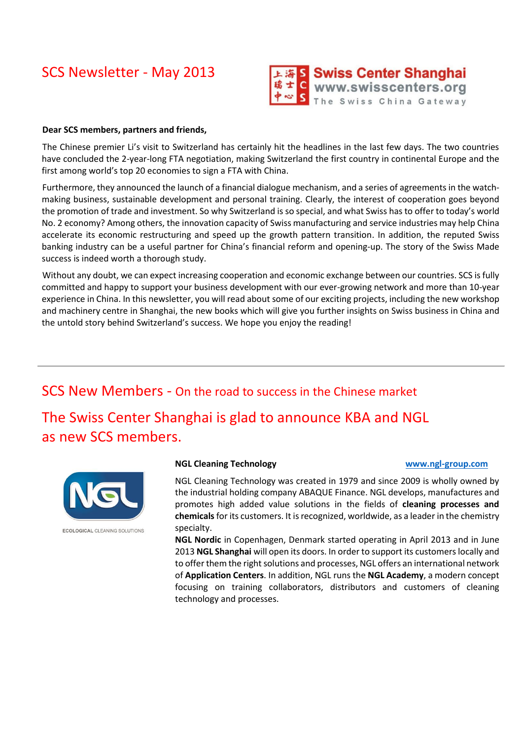# SCS Newsletter - May 2013



## **Dear SCS members, partners and friends,**

The Chinese premier Li's visit to Switzerland has certainly hit the headlines in the last few days. The two countries have concluded the 2-year-long FTA negotiation, making Switzerland the first country in continental Europe and the first among world's top 20 economies to sign a FTA with China.

Furthermore, they announced the launch of a financial dialogue mechanism, and a series of agreements in the watchmaking business, sustainable development and personal training. Clearly, the interest of cooperation goes beyond the promotion of trade and investment. So why Switzerland is so special, and what Swiss has to offer to today's world No. 2 economy? Among others, the innovation capacity of Swiss manufacturing and service industries may help China accelerate its economic restructuring and speed up the growth pattern transition. In addition, the reputed Swiss banking industry can be a useful partner for China's financial reform and opening-up. The story of the Swiss Made success is indeed worth a thorough study.

Without any doubt, we can expect increasing cooperation and economic exchange between our countries. SCS is fully committed and happy to support your business development with our ever-growing network and more than 10-year experience in China. In this newsletter, you will read about some of our exciting projects, including the new workshop and machinery centre in Shanghai, the new books which will give you further insights on Swiss business in China and the untold story behind Switzerland's success. We hope you enjoy the reading!

SCS New Members - On the road to success in the Chinese market The Swiss Center Shanghai is glad to announce KBA and NGL as new SCS members.



### **NGL Cleaning Technology [www.ngl-group.com](http://www.ngl-group.com/)**

NGL Cleaning Technology was created in 1979 and since 2009 is wholly owned by the industrial holding company ABAQUE Finance. NGL develops, manufactures and promotes high added value solutions in the fields of **cleaning processes and chemicals**for its customers. It is recognized, worldwide, as a leader in the chemistry specialty.

**NGL Nordic** in Copenhagen, Denmark started operating in April 2013 and in June 2013 **NGL Shanghai** will open its doors. In order to support its customers locally and to offer them the right solutions and processes, NGL offers an international network of **Application Centers**. In addition, NGL runs the **NGL Academy**, a modern concept focusing on training collaborators, distributors and customers of cleaning technology and processes.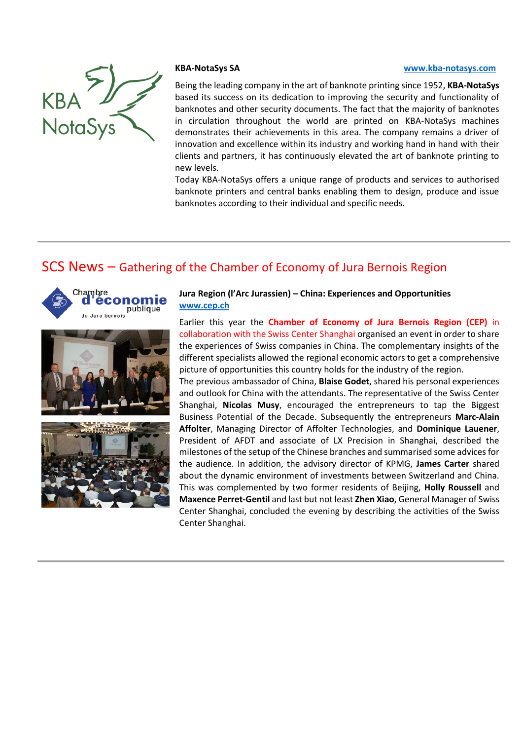

### **KBA-NotaSys SA [www.kba-notasys.com](http://www.kba-notasys.com/)**

Being the leading company in the art of banknote printing since 1952, **KBA-NotaSys** based its success on its dedication to improving the security and functionality of banknotes and other security documents. The fact that the majority of banknotes in circulation throughout the world are printed on KBA-NotaSys machines demonstrates their achievements in this area. The company remains a driver of innovation and excellence within its industry and working hand in hand with their clients and partners, it has continuously elevated the art of banknote printing to new levels.

Today KBA-NotaSys offers a unique range of products and services to authorised banknote printers and central banks enabling them to design, produce and issue banknotes according to their individual and specific needs.

# SCS News – Gathering of the Chamber of Economy of Jura Bernois Region





## **Jura Region (l'Arc Jurassien) – China: Experiences and Opportunities [www.cep.ch](http://www.cep.ch/)**

Earlier this year the **Chamber of Economy of Jura Bernois Region (CEP)** in collaboration with the Swiss Center Shanghai organised an event in order to share the experiences of Swiss companies in China. The complementary insights of the different specialists allowed the regional economic actors to get a comprehensive picture of opportunities this country holds for the industry of the region.

The previous ambassador of China, **Blaise Godet**, shared his personal experiences and outlook for China with the attendants. The representative of the Swiss Center Shanghai, **Nicolas Musy**, encouraged the entrepreneurs to tap the Biggest Business Potential of the Decade. Subsequently the entrepreneurs **Marc-Alain Affolter**, Managing Director of Affolter Technologies, and **Dominique Lauener**, President of AFDT and associate of LX Precision in Shanghai, described the milestones of the setup of the Chinese branches and summarised some advices for the audience. In addition, the advisory director of KPMG, **James Carter** shared about the dynamic environment of investments between Switzerland and China. This was complemented by two former residents of Beijing, **Holly Roussell** and **Maxence Perret-Gentil** and last but not least **Zhen Xiao**, General Manager of Swiss Center Shanghai, concluded the evening by describing the activities of the Swiss Center Shanghai.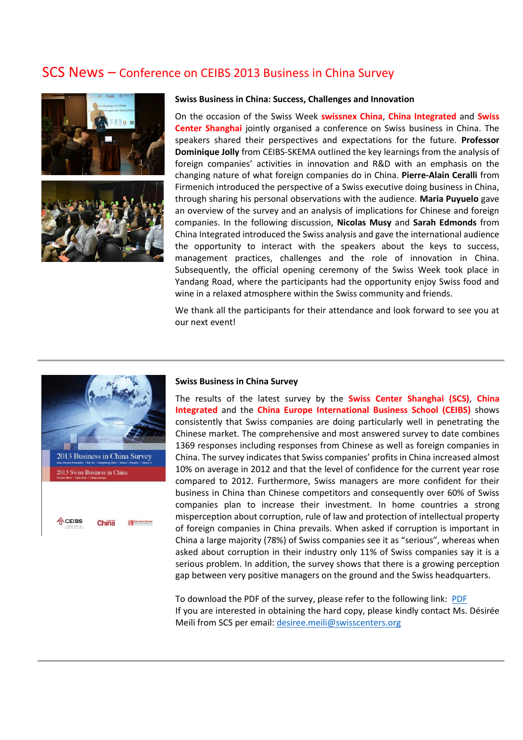## SCS News – Conference on CEIBS 2013 Business in China Survey



### **Swiss Business in China: Success, Challenges and Innovation**

On the occasion of the Swiss Week **swissnex China**, **China Integrated** and **Swiss Center Shanghai** jointly organised a conference on Swiss business in China. The speakers shared their perspectives and expectations for the future. **Professor Dominique Jolly** from CEIBS-SKEMA outlined the key learnings from the analysis of foreign companies' activities in innovation and R&D with an emphasis on the changing nature of what foreign companies do in China. **Pierre-Alain Ceralli** from Firmenich introduced the perspective of a Swiss executive doing business in China, through sharing his personal observations with the audience. **Maria Puyuelo** gave an overview of the survey and an analysis of implications for Chinese and foreign companies. In the following discussion, **Nicolas Musy** and **Sarah Edmonds** from China Integrated introduced the Swiss analysis and gave the international audience the opportunity to interact with the speakers about the keys to success, management practices, challenges and the role of innovation in China. Subsequently, the official opening ceremony of the Swiss Week took place in Yandang Road, where the participants had the opportunity enjoy Swiss food and wine in a relaxed atmosphere within the Swiss community and friends.

We thank all the participants for their attendance and look forward to see you at our next event!



### **Swiss Business in China Survey**

The results of the latest survey by the **Swiss Center Shanghai (SCS)**, **China Integrated** and the **China Europe International Business School (CEIBS)** shows consistently that Swiss companies are doing particularly well in penetrating the Chinese market. The comprehensive and most answered survey to date combines 1369 responses including responses from Chinese as well as foreign companies in China. The survey indicates that Swiss companies' profits in China increased almost 10% on average in 2012 and that the level of confidence for the current year rose compared to 2012. Furthermore, Swiss managers are more confident for their business in China than Chinese competitors and consequently over 60% of Swiss companies plan to increase their investment. In home countries a strong misperception about corruption, rule of law and protection of intellectual property of foreign companies in China prevails. When asked if corruption is important in China a large majority (78%) of Swiss companies see it as "serious", whereas when asked about corruption in their industry only 11% of Swiss companies say it is a serious problem. In addition, the survey shows that there is a growing perception gap between very positive managers on the ground and the Swiss headquarters.

To download the PDF of the survey, please refer to the following link: [PDF](http://www.swisscenters.org/download/studies/2013/2013_Swiss.business.in.China.pdf) If you are interested in obtaining the hard copy, please kindly contact Ms. Désirée Meili from SCS per email: [desiree.meili@swisscenters.org](mailto:desiree.meili@swisscenters.org)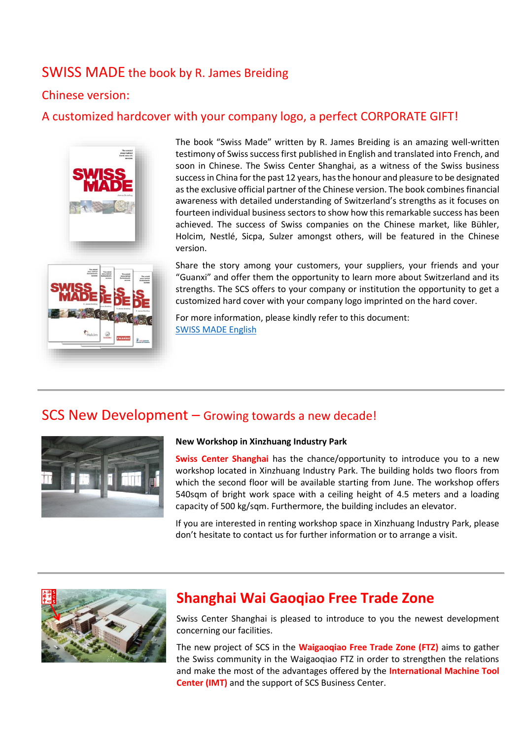# SWISS MADE the book by R. James Breiding

## Chinese version:

## A customized hardcover with your company logo, a perfect CORPORATE GIFT!



The book "Swiss Made" written by R. James Breiding is an amazing well-written testimony of Swiss success first published in English and translated into French, and soon in Chinese. The Swiss Center Shanghai, as a witness of the Swiss business success in China for the past 12 years, has the honour and pleasure to be designated as the exclusive official partner of the Chinese version. The book combines financial awareness with detailed understanding of Switzerland's strengths as it focuses on fourteen individual business sectors to show how this remarkable success has been achieved. The success of Swiss companies on the Chinese market, like Bühler, Holcim, Nestlé, Sicpa, Sulzer amongst others, will be featured in the Chinese version.



Share the story among your customers, your suppliers, your friends and your "Guanxi" and offer them the opportunity to learn more about Switzerland and its strengths. The SCS offers to your company or institution the opportunity to get a customized hard cover with your company logo imprinted on the hard cover.

For more information, please kindly refer to this document: [SWISS MADE English](http://www.swisscenters.org/download/press/2013/20130313_SCS_Swiss.Made.book_be.part.of.the.story-en.pdf)

# SCS New Development – Growing towards a new decade!



## **New Workshop in Xinzhuang Industry Park**

**Swiss Center Shanghai** has the chance/opportunity to introduce you to a new workshop located in Xinzhuang Industry Park. The building holds two floors from which the second floor will be available starting from June. The workshop offers 540sqm of bright work space with a ceiling height of 4.5 meters and a loading capacity of 500 kg/sqm. Furthermore, the building includes an elevator.

If you are interested in renting workshop space in Xinzhuang Industry Park, please don't hesitate to contact us for further information or to arrange a visit.



# **Shanghai Wai Gaoqiao Free Trade Zone**

Swiss Center Shanghai is pleased to introduce to you the newest development concerning our facilities.

The new project of SCS in the **Waigaoqiao Free Trade Zone (FTZ)** aims to gather the Swiss community in the Waigaoqiao FTZ in order to strengthen the relations and make the most of the advantages offered by the **International Machine Tool Center (IMT)** and the support of SCS Business Center.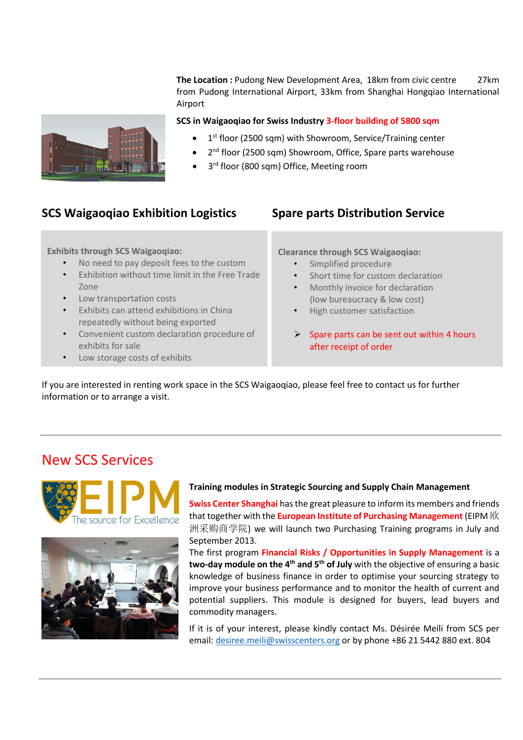**The Location :** Pudong New Development Area, 18km from civic centre27km from Pudong International Airport, 33km from Shanghai Hongqiao International Airport



- 1<sup>st</sup> floor (2500 sqm) with Showroom, Service/Training center
- 2<sup>nd</sup> floor (2500 sqm) Showroom, Office, Spare parts warehouse
- 3<sup>rd</sup> floor (800 sqm) Office, Meeting room

## **SCS Waigaoqiao Exhibition Logistics Spare parts Distribution Service**

## **Exhibits through SCS Waigaoqiao:**

- No need to pay deposit fees to the custom
- Exhibition without time limit in the Free Trade Zone
- Low transportation costs
- Exhibits can attend exhibitions in China repeatedly without being exported
- Convenient custom declaration procedure of exhibits for sale
- Low storage costs of exhibits

**Clearance through SCS Waigaoqiao:**

- Simplified procedure
- Short time for custom declaration
- Monthly invoice for declaration (low bureaucracy & low cost)
- High customer satisfaction
- Spare parts can be sent out within 4 hours after receipt of order

If you are interested in renting work space in the SCS Waigaoqiao, please feel free to contact us for further information or to arrange a visit.

# New SCS Services





## **Training modules in Strategic Sourcing and Supply Chain Management**

**Swiss Center Shanghai** has the great pleasure to inform its members and friends that together with the **European Institute of Purchasing Management** (EIPM 欧 洲采购商学院) we will launch two Purchasing Training programs in July and September 2013.

The first program **Financial Risks / Opportunities in Supply Management** is a **two-day module on the 4th and 5th of July** with the objective of ensuring a basic knowledge of business finance in order to optimise your sourcing strategy to improve your business performance and to monitor the health of current and potential suppliers. This module is designed for buyers, lead buyers and commodity managers.

If it is of your interest, please kindly contact Ms. Désirée Meili from SCS per email: [desiree.meili@swisscenters.org](mailto:desiree.meili@swisscenters.org) or by phone +86 21 5442 880 ext. 804